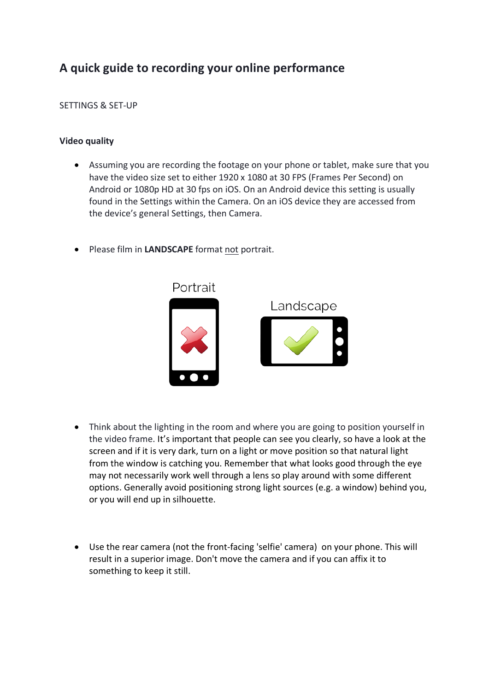# **A quick guide to recording your online performance**

## SETTINGS & SET-UP

## **Video quality**

- Assuming you are recording the footage on your phone or tablet, make sure that you have the video size set to either 1920 x 1080 at 30 FPS (Frames Per Second) on Android or 1080p HD at 30 fps on iOS. On an Android device this setting is usually found in the Settings within the Camera. On an iOS device they are accessed from the device's general Settings, then Camera.
- Please film in **LANDSCAPE** format not portrait.



- Think about the lighting in the room and where you are going to position yourself in the video frame. It's important that people can see you clearly, so have a look at the screen and if it is very dark, turn on a light or move position so that natural light from the window is catching you. Remember that what looks good through the eye may not necessarily work well through a lens so play around with some different options. Generally avoid positioning strong light sources (e.g. a window) behind you, or you will end up in silhouette.
- Use the rear camera (not the front-facing 'selfie' camera) on your phone. This will result in a superior image. Don't move the camera and if you can affix it to something to keep it still.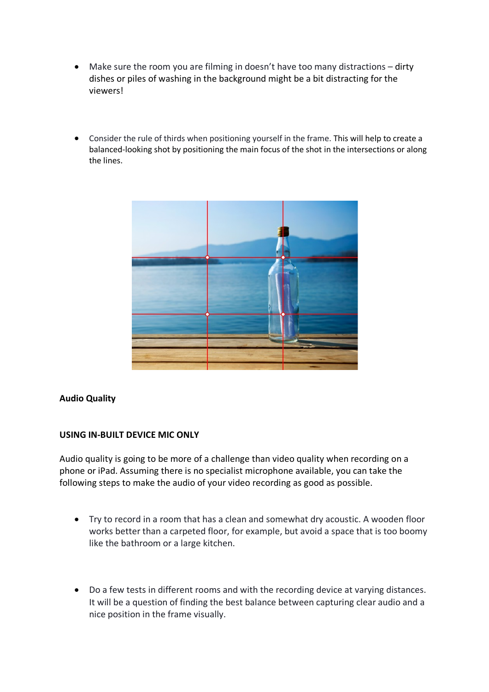- Make sure the room you are filming in doesn't have too many distractions dirty dishes or piles of washing in the background might be a bit distracting for the viewers!
- Consider the rule of thirds when positioning yourself in the frame. This will help to create a balanced-looking shot by positioning the main focus of the shot in the intersections or along the lines.



### **Audio Quality**

### **USING IN-BUILT DEVICE MIC ONLY**

Audio quality is going to be more of a challenge than video quality when recording on a phone or iPad. Assuming there is no specialist microphone available, you can take the following steps to make the audio of your video recording as good as possible.

- Try to record in a room that has a clean and somewhat dry acoustic. A wooden floor works better than a carpeted floor, for example, but avoid a space that is too boomy like the bathroom or a large kitchen.
- Do a few tests in different rooms and with the recording device at varying distances. It will be a question of finding the best balance between capturing clear audio and a nice position in the frame visually.